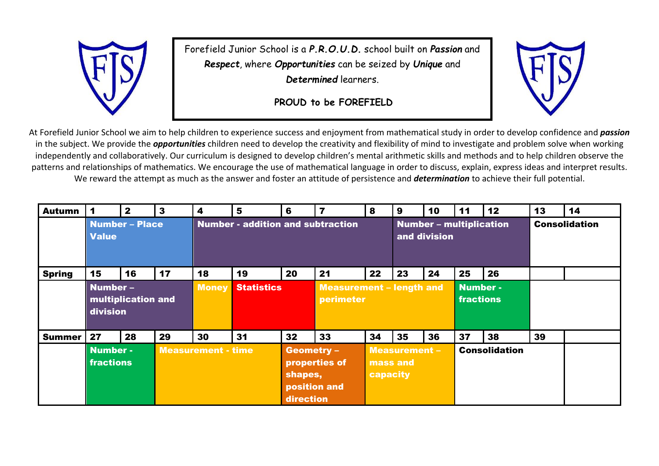

Forefield Junior School is a *P.R.O.U.D.* school built on *Passion* and *Respect*, where *Opportunities* can be seized by *Unique* and *Determined* learners.

**PROUD to be FOREFIELD**



At Forefield Junior School we aim to help children to experience success and enjoyment from mathematical study in order to develop confidence and *passion* in the subject. We provide the *opportunities* children need to develop the creativity and flexibility of mind to investigate and problem solve when working independently and collaboratively. Our curriculum is designed to develop children's mental arithmetic skills and methods and to help children observe the patterns and relationships of mathematics. We encourage the use of mathematical language in order to discuss, explain, express ideas and interpret results. We reward the attempt as much as the answer and foster an attitude of persistence and *determination* to achieve their full potential.

| <b>Autumn</b> |                                            | $\overline{\mathbf{2}}$ | $\mathbf{3}$              | $\overline{\mathbf{4}}$                  | 5                                                                 | 6                                                                          | $\overline{7}$ | 8                                       | $\boldsymbol{9}$                             | 10 | 11                   | 12                   | 13 | 14 |
|---------------|--------------------------------------------|-------------------------|---------------------------|------------------------------------------|-------------------------------------------------------------------|----------------------------------------------------------------------------|----------------|-----------------------------------------|----------------------------------------------|----|----------------------|----------------------|----|----|
|               | <b>Number - Place</b><br><b>Value</b>      |                         |                           | <b>Number - addition and subtraction</b> |                                                                   |                                                                            |                | Number - multiplication<br>and division |                                              |    |                      | <b>Consolidation</b> |    |    |
| <b>Spring</b> | 15                                         | 16                      | 17                        | 18                                       | 19                                                                | 20                                                                         | 21             | 22                                      | 23                                           | 24 | 25                   | 26                   |    |    |
|               | Number -<br>multiplication and<br>division |                         |                           | <b>Money</b>                             | <b>Statistics</b><br><b>Measurement - length and</b><br>perimeter |                                                                            |                | <b>Number -</b><br><b>fractions</b>     |                                              |    |                      |                      |    |    |
| <b>Summer</b> | 27                                         | 28                      | 29                        | 30                                       | 31                                                                | 32                                                                         | 33             | 34                                      | 35                                           | 36 | 37                   | 38                   | 39 |    |
|               | <b>Number-</b><br><b>fractions</b>         |                         | <b>Measurement - time</b> |                                          |                                                                   | <b>Geometry -</b><br>properties of<br>shapes,<br>position and<br>direction |                |                                         | <b>Measurement -</b><br>mass and<br>capacity |    | <b>Consolidation</b> |                      |    |    |